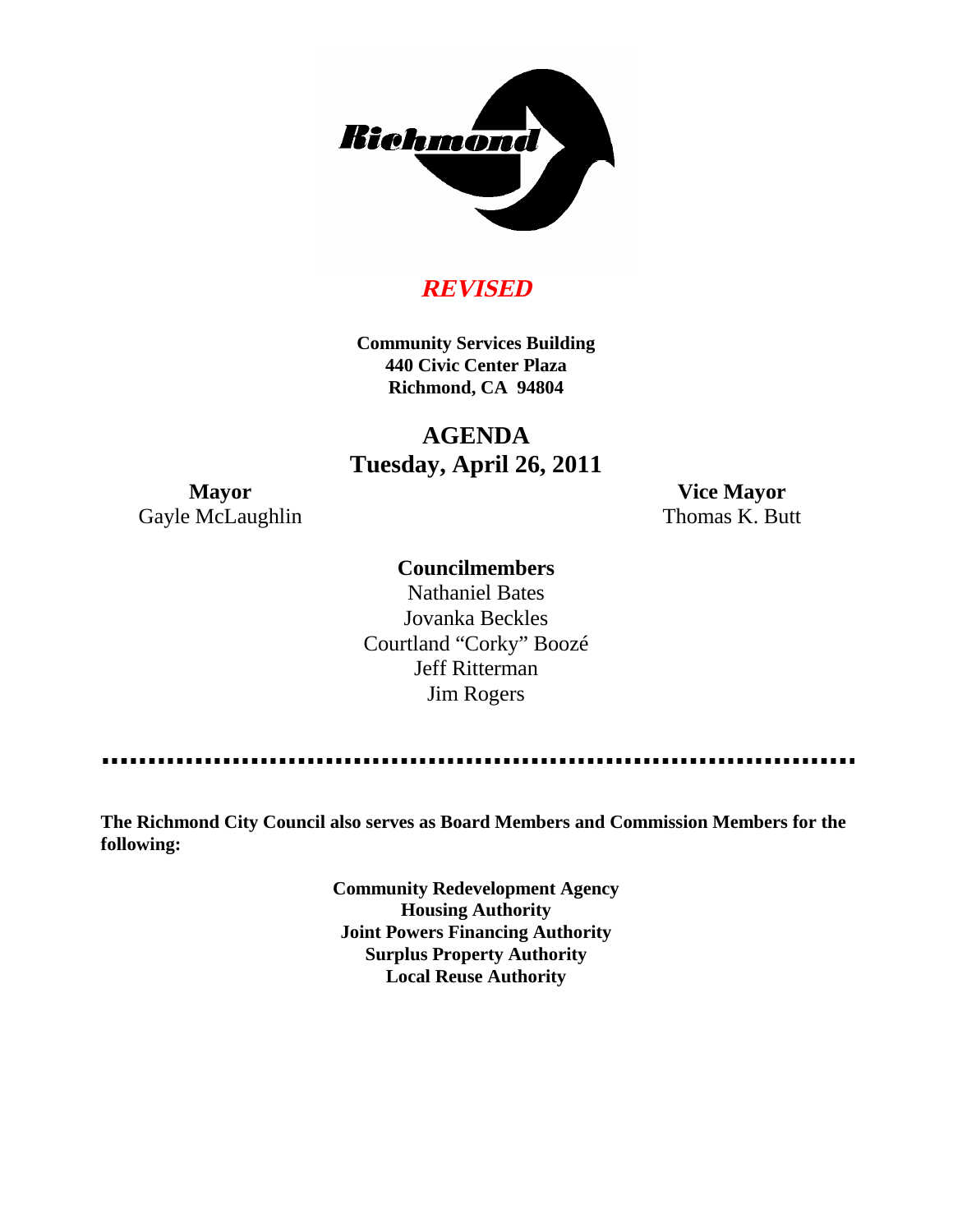

# **REVISED**

**Community Services Building 440 Civic Center Plaza Richmond, CA 94804**

# **AGENDA Tuesday, April 26, 2011**

Gayle McLaughlin Thomas K. Butt

**Mayor Vice Mayor**

### **Councilmembers**

Nathaniel Bates Jovanka Beckles Courtland "Corky" Boozé Jeff Ritterman Jim Rogers

. . . . . . . . . . . . . . . . . .

**The Richmond City Council also serves as Board Members and Commission Members for the following:**

> **Community Redevelopment Agency Housing Authority Joint Powers Financing Authority Surplus Property Authority Local Reuse Authority**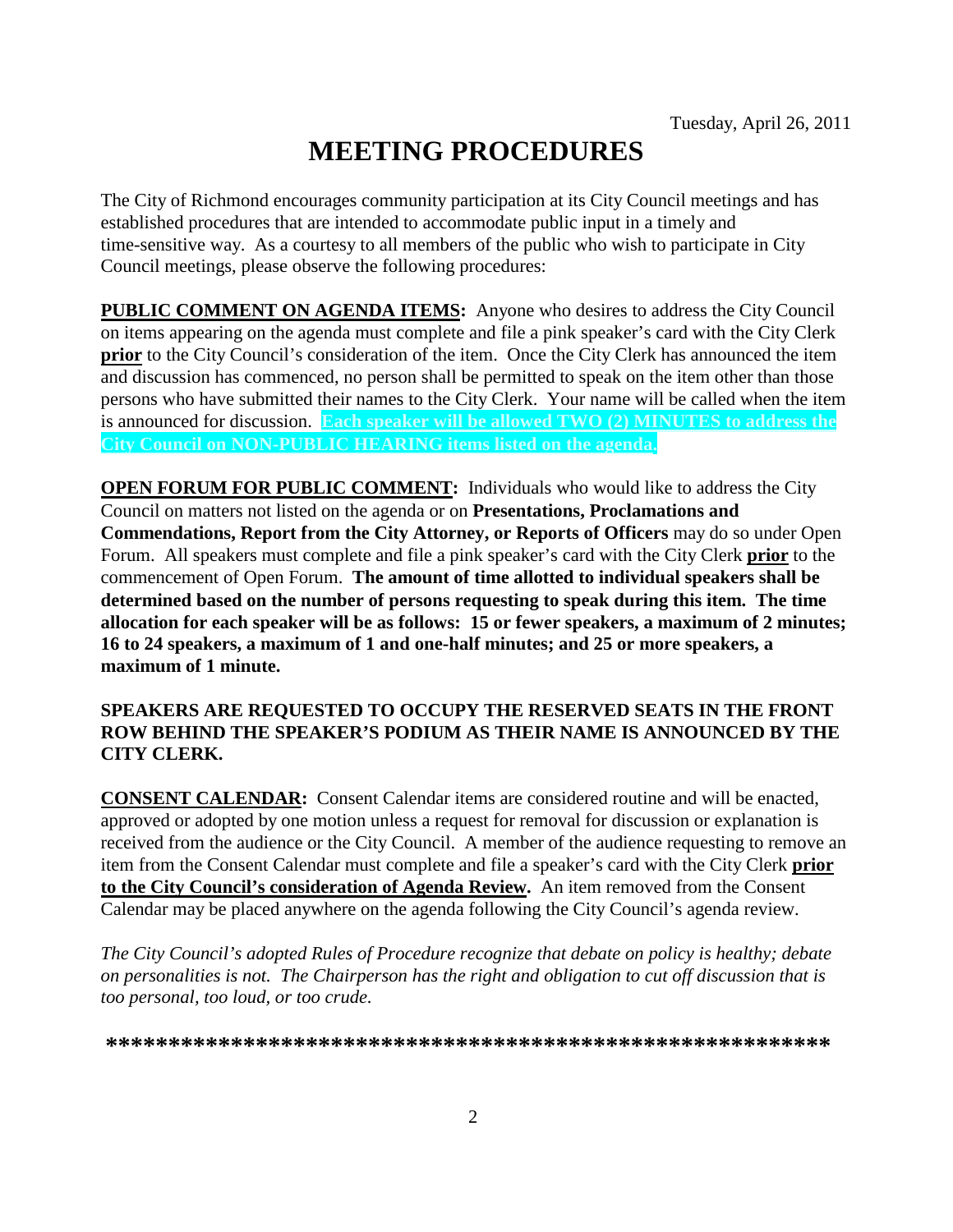# **MEETING PROCEDURES**

The City of Richmond encourages community participation at its City Council meetings and has established procedures that are intended to accommodate public input in a timely and time-sensitive way. As a courtesy to all members of the public who wish to participate in City Council meetings, please observe the following procedures:

**PUBLIC COMMENT ON AGENDA ITEMS:** Anyone who desires to address the City Council on items appearing on the agenda must complete and file a pink speaker's card with the City Clerk **prior** to the City Council's consideration of the item. Once the City Clerk has announced the item and discussion has commenced, no person shall be permitted to speak on the item other than those persons who have submitted their names to the City Clerk. Your name will be called when the item is announced for discussion. **Each speaker will be allowed TWO (2) MINUTES to address the City Council on NON-PUBLIC HEARING items listed on the agenda.**

**OPEN FORUM FOR PUBLIC COMMENT:** Individuals who would like to address the City Council on matters not listed on the agenda or on **Presentations, Proclamations and Commendations, Report from the City Attorney, or Reports of Officers** may do so under Open Forum. All speakers must complete and file a pink speaker's card with the City Clerk **prior** to the commencement of Open Forum. **The amount of time allotted to individual speakers shall be determined based on the number of persons requesting to speak during this item. The time allocation for each speaker will be as follows: 15 or fewer speakers, a maximum of 2 minutes; 16 to 24 speakers, a maximum of 1 and one-half minutes; and 25 or more speakers, a maximum of 1 minute.**

### **SPEAKERS ARE REQUESTED TO OCCUPY THE RESERVED SEATS IN THE FRONT ROW BEHIND THE SPEAKER'S PODIUM AS THEIR NAME IS ANNOUNCED BY THE CITY CLERK.**

**CONSENT CALENDAR:** Consent Calendar items are considered routine and will be enacted, approved or adopted by one motion unless a request for removal for discussion or explanation is received from the audience or the City Council. A member of the audience requesting to remove an item from the Consent Calendar must complete and file a speaker's card with the City Clerk **prior to the City Council's consideration of Agenda Review.** An item removed from the Consent Calendar may be placed anywhere on the agenda following the City Council's agenda review.

*The City Council's adopted Rules of Procedure recognize that debate on policy is healthy; debate on personalities is not. The Chairperson has the right and obligation to cut off discussion that is too personal, too loud, or too crude.*

**\*\*\*\*\*\*\*\*\*\*\*\*\*\*\*\*\*\*\*\*\*\*\*\*\*\*\*\*\*\*\*\*\*\*\*\*\*\*\*\*\*\*\*\*\*\*\*\*\*\*\*\*\*\*\*\*\*\***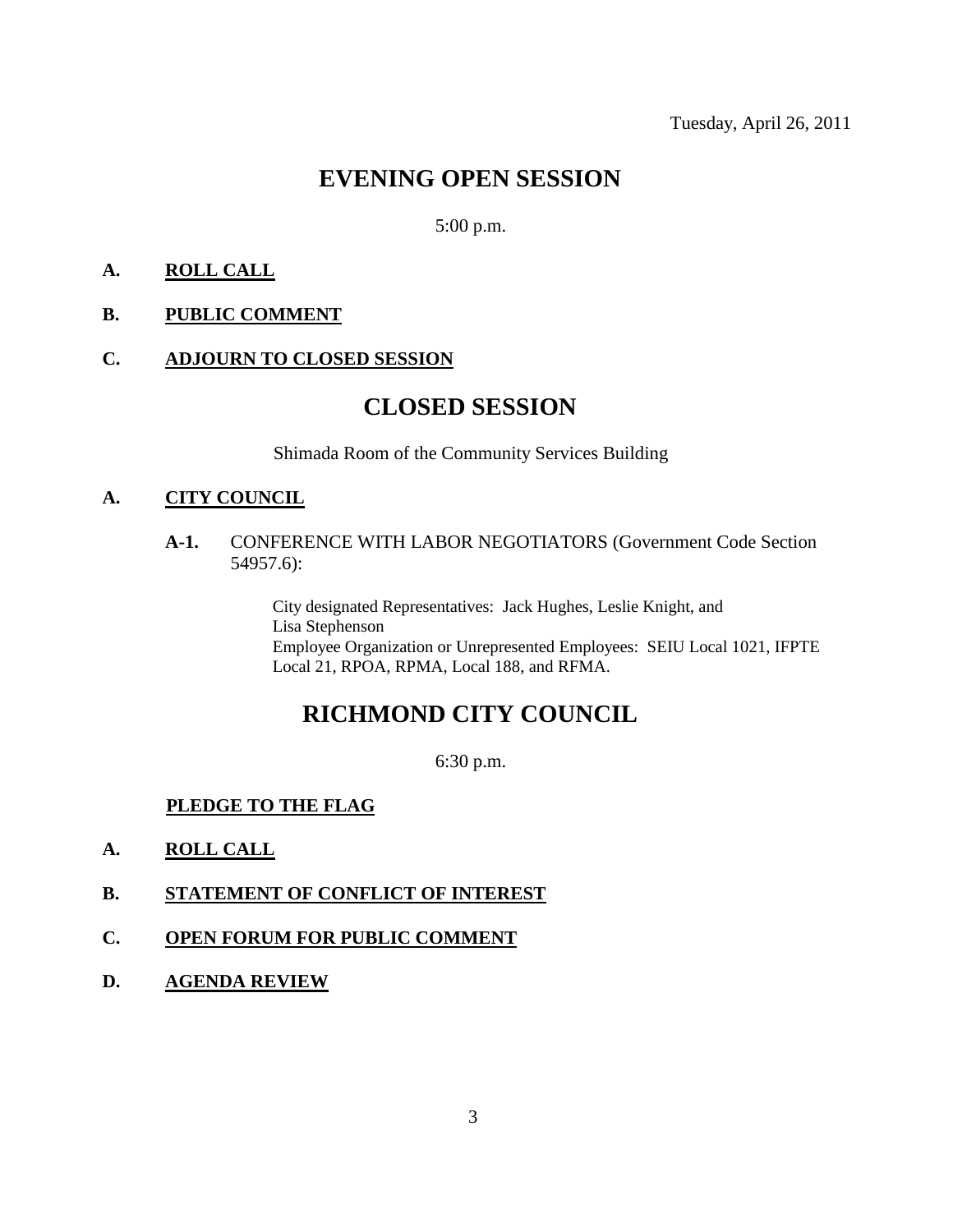# **EVENING OPEN SESSION**

### 5:00 p.m.

### **A. ROLL CALL**

### **B. PUBLIC COMMENT**

### **C. ADJOURN TO CLOSED SESSION**

### **CLOSED SESSION**

Shimada Room of the Community Services Building

#### **A. CITY COUNCIL**

### **A-1.** CONFERENCE WITH LABOR NEGOTIATORS (Government Code Section 54957.6):

City designated Representatives: Jack Hughes, Leslie Knight, and Lisa Stephenson Employee Organization or Unrepresented Employees: SEIU Local 1021, IFPTE Local 21, RPOA, RPMA, Local 188, and RFMA.

# **RICHMOND CITY COUNCIL**

6:30 p.m.

### **PLEDGE TO THE FLAG**

- **A. ROLL CALL**
- **B. STATEMENT OF CONFLICT OF INTEREST**
- **C. OPEN FORUM FOR PUBLIC COMMENT**
- **D. AGENDA REVIEW**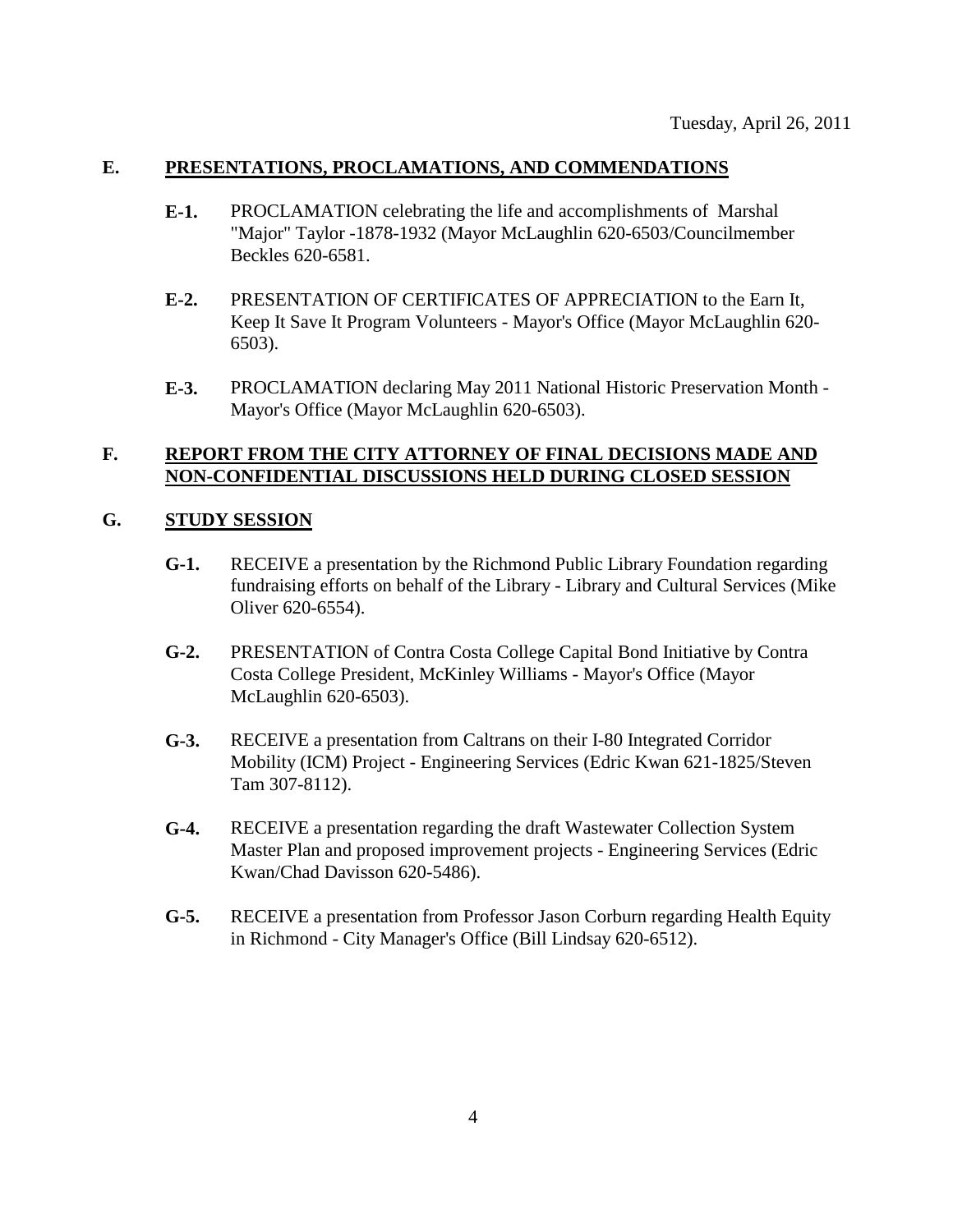### **E. PRESENTATIONS, PROCLAMATIONS, AND COMMENDATIONS**

- **E-1.** PROCLAMATION celebrating the life and accomplishments of Marshal "Major" Taylor -1878-1932 (Mayor McLaughlin 620-6503/Councilmember Beckles 620-6581.
- **E-2.** PRESENTATION OF CERTIFICATES OF APPRECIATION to the Earn It, Keep It Save It Program Volunteers - Mayor's Office (Mayor McLaughlin 620- 6503).
- **E-3.** PROCLAMATION declaring May 2011 National Historic Preservation Month Mayor's Office (Mayor McLaughlin 620-6503).

### **F. REPORT FROM THE CITY ATTORNEY OF FINAL DECISIONS MADE AND NON-CONFIDENTIAL DISCUSSIONS HELD DURING CLOSED SESSION**

### **G. STUDY SESSION**

- **G-1.** RECEIVE a presentation by the Richmond Public Library Foundation regarding fundraising efforts on behalf of the Library - Library and Cultural Services (Mike Oliver 620-6554).
- **G-2.** PRESENTATION of Contra Costa College Capital Bond Initiative by Contra Costa College President, McKinley Williams - Mayor's Office (Mayor McLaughlin 620-6503).
- **G-3.** RECEIVE a presentation from Caltrans on their I-80 Integrated Corridor Mobility (ICM) Project - Engineering Services (Edric Kwan 621-1825/Steven Tam 307-8112).
- **G-4.** RECEIVE a presentation regarding the draft Wastewater Collection System Master Plan and proposed improvement projects - Engineering Services (Edric Kwan/Chad Davisson 620-5486).
- **G-5.** RECEIVE a presentation from Professor Jason Corburn regarding Health Equity in Richmond - City Manager's Office (Bill Lindsay 620-6512).